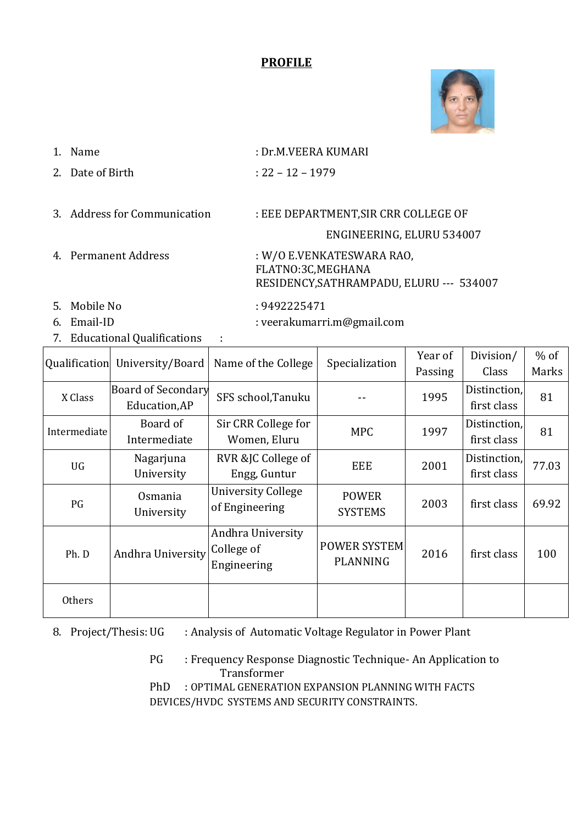## **PROFILE**



- 1. Name : Dr.M.VEERA KUMARI
- 2. Date of Birth : 22 12 1979

3. Address for Communication : EEE DEPARTMENT, SIR CRR COLLEGE OF

#### ENGINEERING, ELURU 534007

4. Permanent Address : W/O E.VENKATESWARA RAO, FLATNO:3C,MEGHANA RESIDENCY,SATHRAMPADU, ELURU --- 534007

- 5. Mobile No : 9492225471
- 

6. Email-ID : veerakumarri.m@gmail.com

7. Educational Qualifications :

|              | Qualification University/Board             | Name of the College                            | Specialization                         | Year of | Division/                   | $%$ of |
|--------------|--------------------------------------------|------------------------------------------------|----------------------------------------|---------|-----------------------------|--------|
|              |                                            |                                                |                                        | Passing | Class                       | Marks  |
| X Class      | <b>Board of Secondary</b><br>Education, AP | SFS school, Tanuku                             |                                        | 1995    | Distinction,<br>first class | 81     |
| Intermediate | Board of<br>Intermediate                   | Sir CRR College for<br>Women, Eluru            | <b>MPC</b>                             | 1997    | Distinction,<br>first class | 81     |
| UG           | Nagarjuna<br>University                    | RVR &JC College of<br>Engg, Guntur             | <b>EEE</b>                             | 2001    | Distinction,<br>first class | 77.03  |
| PG           | Osmania<br>University                      | <b>University College</b><br>of Engineering    | <b>POWER</b><br><b>SYSTEMS</b>         | 2003    | first class                 | 69.92  |
| Ph. D        | Andhra University                          | Andhra University<br>College of<br>Engineering | <b>POWER SYSTEM</b><br><b>PLANNING</b> | 2016    | first class                 | 100    |
| Others       |                                            |                                                |                                        |         |                             |        |

8. Project/Thesis: UG : Analysis of Automatic Voltage Regulator in Power Plant

PG : Frequency Response Diagnostic Technique- An Application to Transformer PhD : OPTIMAL GENERATION EXPANSION PLANNING WITH FACTS DEVICES/HVDC SYSTEMS AND SECURITY CONSTRAINTS.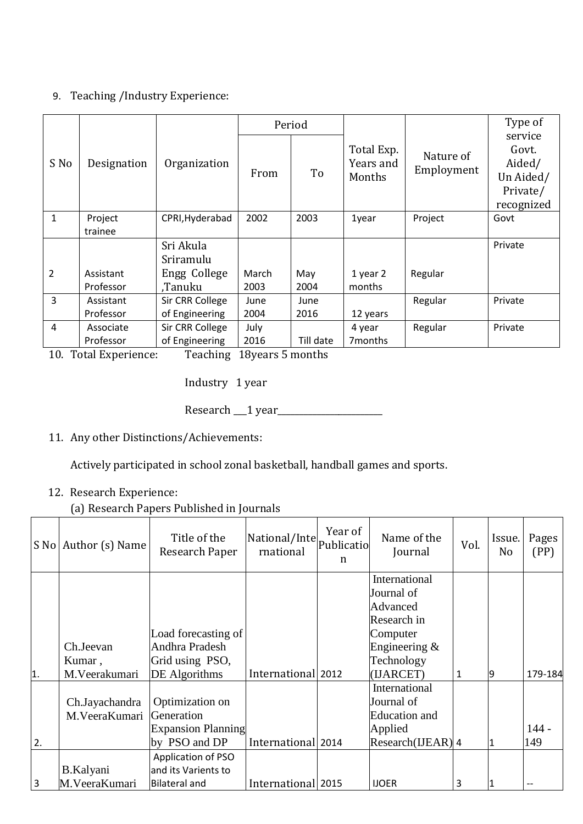## 9. Teaching /Industry Experience:

|                |                        |                                   |               | Period       |                                   |                         | Type of                                                           |
|----------------|------------------------|-----------------------------------|---------------|--------------|-----------------------------------|-------------------------|-------------------------------------------------------------------|
| S No           | Designation            | Organization                      | From          | To           | Total Exp.<br>Years and<br>Months | Nature of<br>Employment | service<br>Govt.<br>Aided/<br>Un Aided/<br>Private/<br>recognized |
| $\mathbf{1}$   | Project<br>trainee     | CPRI, Hyderabad                   | 2002          | 2003         | 1year                             | Project                 | Govt                                                              |
|                |                        | Sri Akula<br>Sriramulu            |               |              |                                   |                         | Private                                                           |
| $\overline{2}$ | Assistant<br>Professor | Engg College<br>.Tanuku           | March<br>2003 | May<br>2004  | 1 year 2<br>months                | Regular                 |                                                                   |
| $\overline{3}$ | Assistant<br>Professor | Sir CRR College<br>of Engineering | June<br>2004  | June<br>2016 | 12 years                          | Regular                 | Private                                                           |
| 4              | Associate<br>Professor | Sir CRR College<br>of Engineering | July<br>2016  | Till date    | 4 year<br>7 months                | Regular                 | Private                                                           |

10. Total Experience: Teaching 18years 5 months

Industry 1 year

Research 1 year

11. Any other Distinctions/Achievements:

Actively participated in school zonal basketball, handball games and sports.

12. Research Experience:

(a) Research Papers Published in Journals

|                | S No Author (s) Name            | Title of the<br>Research Paper                             | National/Inte<br>rnational | Year of<br>Publicatio<br>n | Name of the<br>Journal                                                                              | Vol. | Issue.<br>No | Pages<br>(PP) |
|----------------|---------------------------------|------------------------------------------------------------|----------------------------|----------------------------|-----------------------------------------------------------------------------------------------------|------|--------------|---------------|
|                | Ch.Jeevan<br>Kumar,             | Load forecasting of<br>Andhra Pradesh<br>Grid using PSO,   |                            |                            | International<br>Journal of<br>Advanced<br>Research in<br>Computer<br>Engineering $&$<br>Technology |      |              |               |
| 1.             | M.Veerakumari                   | <b>DE</b> Algorithms                                       | International 2012         |                            | (IJARCET)                                                                                           | 1    |              | 179-184       |
|                | Ch.Jayachandra<br>M.VeeraKumari | Optimization on<br>Generation<br><b>Expansion Planning</b> |                            |                            | International<br>Journal of<br><b>Education</b> and<br>Applied                                      |      |              | $144 -$       |
| 2.             |                                 | by PSO and DP                                              | International 2014         |                            | $Research(IJEAR)$ 4                                                                                 |      |              | 149           |
| $\overline{3}$ | B.Kalyani<br>M. VeeraKumari     | Application of PSO<br>and its Varients to<br>Bilateral and | International 2015         |                            | <b>IJOER</b>                                                                                        | 3    |              |               |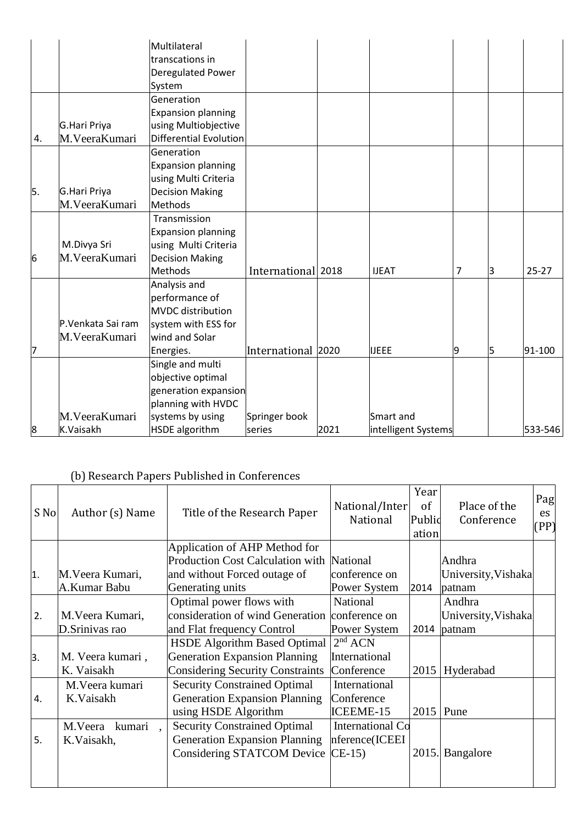|    |                   | Multilateral              |                    |      |                     |   |   |           |
|----|-------------------|---------------------------|--------------------|------|---------------------|---|---|-----------|
|    |                   | transcations in           |                    |      |                     |   |   |           |
|    |                   | Deregulated Power         |                    |      |                     |   |   |           |
|    |                   | System                    |                    |      |                     |   |   |           |
|    |                   | Generation                |                    |      |                     |   |   |           |
|    |                   | <b>Expansion planning</b> |                    |      |                     |   |   |           |
|    | G.Hari Priya      | using Multiobjective      |                    |      |                     |   |   |           |
| 4. | M.VeeraKumari     | Differential Evolution    |                    |      |                     |   |   |           |
|    |                   | Generation                |                    |      |                     |   |   |           |
|    |                   | <b>Expansion planning</b> |                    |      |                     |   |   |           |
|    |                   | using Multi Criteria      |                    |      |                     |   |   |           |
| 5. | G.Hari Priya      | <b>Decision Making</b>    |                    |      |                     |   |   |           |
|    | M.VeeraKumari     | <b>Methods</b>            |                    |      |                     |   |   |           |
|    |                   | Transmission              |                    |      |                     |   |   |           |
|    |                   | <b>Expansion planning</b> |                    |      |                     |   |   |           |
|    | M.Divya Sri       | using Multi Criteria      |                    |      |                     |   |   |           |
| 6  | M.VeeraKumari     | <b>Decision Making</b>    |                    |      |                     |   |   |           |
|    |                   | Methods                   | International 2018 |      | <b>IJEAT</b>        | 7 | З | $25 - 27$ |
|    |                   | Analysis and              |                    |      |                     |   |   |           |
|    |                   | performance of            |                    |      |                     |   |   |           |
|    |                   | <b>MVDC</b> distribution  |                    |      |                     |   |   |           |
|    | P.Venkata Sai ram | system with ESS for       |                    |      |                     |   |   |           |
|    | M.VeeraKumari     | wind and Solar            |                    |      |                     |   |   |           |
| 7  |                   | Energies.                 | International 2020 |      | <b>IJEEE</b>        | 9 | 5 | 91-100    |
|    |                   | Single and multi          |                    |      |                     |   |   |           |
|    |                   | objective optimal         |                    |      |                     |   |   |           |
|    |                   | generation expansion      |                    |      |                     |   |   |           |
|    |                   | planning with HVDC        |                    |      |                     |   |   |           |
|    | M.VeeraKumari     | systems by using          | Springer book      |      | Smart and           |   |   |           |
| 8  | K.Vaisakh         | <b>HSDE</b> algorithm     | series             | 2021 | intelligent Systems |   |   | 533-546   |

# (b) Research Papers Published in Conferences

| S No | Author (s) Name  | Title of the Research Paper             | National/Inter<br><b>National</b> | Year<br><sub>of</sub><br>Public<br>ation | Place of the<br>Conference | Pag<br>es<br>(PP) |
|------|------------------|-----------------------------------------|-----------------------------------|------------------------------------------|----------------------------|-------------------|
|      |                  | Application of AHP Method for           |                                   |                                          |                            |                   |
|      |                  | <b>Production Cost Calculation with</b> | National                          |                                          | Andhra                     |                   |
| 1.   | M. Veera Kumari, | and without Forced outage of            | conference on                     |                                          | University, Vishaka        |                   |
|      | A.Kumar Babu     | Generating units                        | Power System                      | 2014                                     | patnam                     |                   |
|      |                  | Optimal power flows with                | National                          |                                          | Andhra                     |                   |
| 2.   | M. Veera Kumari, | consideration of wind Generation        | conference on                     |                                          | University, Vishaka        |                   |
|      | D. Srinivas rao  | and Flat frequency Control              | Power System                      | 2014                                     | patnam                     |                   |
|      |                  | <b>HSDE Algorithm Based Optimal</b>     | $2nd$ ACN                         |                                          |                            |                   |
| 3.   | M. Veera kumari, | <b>Generation Expansion Planning</b>    | International                     |                                          |                            |                   |
|      | K. Vaisakh       | <b>Considering Security Constraints</b> | Conference                        | 2015                                     | Hyderabad                  |                   |
|      | M. Veera kumari  | <b>Security Constrained Optimal</b>     | International                     |                                          |                            |                   |
| 4.   | K.Vaisakh        | <b>Generation Expansion Planning</b>    | Conference                        |                                          |                            |                   |
|      |                  | using HSDE Algorithm                    | <b>ICEEME-15</b>                  | 2015                                     | Pune                       |                   |
|      | M.Veera kumari   | <b>Security Constrained Optimal</b>     | <b>International Co</b>           |                                          |                            |                   |
| 5.   | K.Vaisakh,       | <b>Generation Expansion Planning</b>    | nference(ICEEI                    |                                          |                            |                   |
|      |                  | Considering STATCOM Device              | $CE-15$                           | 2015.                                    | Bangalore                  |                   |
|      |                  |                                         |                                   |                                          |                            |                   |
|      |                  |                                         |                                   |                                          |                            |                   |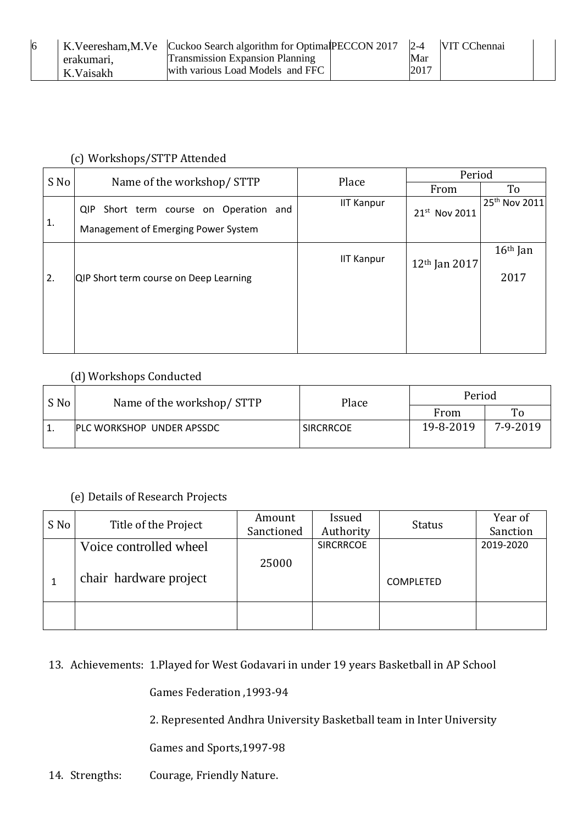|            | K.Veeresham, M.Ve Cuckoo Search algorithm for Optimal PECCON 2017 2-4 |      | <b>VIT CChennai</b> |
|------------|-----------------------------------------------------------------------|------|---------------------|
| erakumari. | <b>Transmission Expansion Planning</b>                                | Mar  |                     |
| K.Vaisakh  | with various Load Models and FFC                                      | 2017 |                     |

#### (c) Workshops/STTP Attended

| S No |                                                                                  | Place             | Period                    |                           |  |
|------|----------------------------------------------------------------------------------|-------------------|---------------------------|---------------------------|--|
|      | Name of the workshop/ STTP                                                       |                   | From                      | To                        |  |
| 1.   | Short term course on Operation and<br>QIP<br>Management of Emerging Power System | <b>IIT Kanpur</b> | 21st Nov 2011             | 25 <sup>th</sup> Nov 2011 |  |
| 2.   | QIP Short term course on Deep Learning                                           | <b>IIT Kanpur</b> | 12 <sup>th</sup> Jan 2017 | $16th$ Jan<br>2017        |  |
|      |                                                                                  |                   |                           |                           |  |

#### (d) Workshops Conducted

| S No | Name of the workshop/STTP        | Place            | Period    |          |  |
|------|----------------------------------|------------------|-----------|----------|--|
|      |                                  |                  | From      | To       |  |
|      | <b>PLC WORKSHOP UNDER APSSDC</b> | <b>SIRCRRCOE</b> | 19-8-2019 | 7-9-2019 |  |

#### (e) Details of Research Projects

| S No |                        | Amount     | Issued           | <b>Status</b>    | Year of   |
|------|------------------------|------------|------------------|------------------|-----------|
|      | Title of the Project   | Sanctioned | Authority        |                  | Sanction  |
|      | Voice controlled wheel |            | <b>SIRCRRCOE</b> |                  | 2019-2020 |
|      |                        | 25000      |                  |                  |           |
|      | chair hardware project |            |                  | <b>COMPLETED</b> |           |
|      |                        |            |                  |                  |           |

#### 13. Achievements: 1.Played for West Godavari in under 19 years Basketball in AP School

Games Federation ,1993-94

2. Represented Andhra University Basketball team in Inter University

Games and Sports,1997-98

14. Strengths: Courage, Friendly Nature.